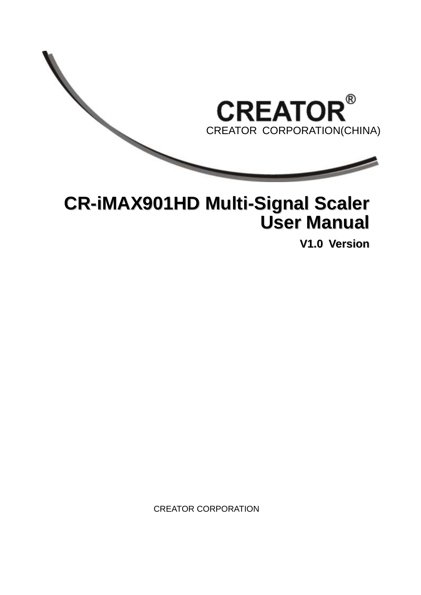

## **CR-iMAX901HD Multi-Signal Scaler User Manual**

**V1.0 Version**

CREATOR CORPORATION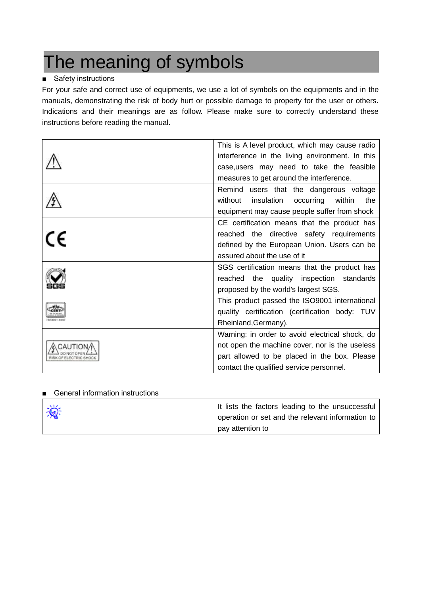# The meaning of symbols

### ■ Safety instructions

For your safe and correct use of equipments, we use a lot of symbols on the equipments and in the manuals, demonstrating the risk of body hurt or possible damage to property for the user or others. Indications and their meanings are as follow. Please make sure to correctly understand these instructions before reading the manual.

|    | This is A level product, which may cause radio      |
|----|-----------------------------------------------------|
|    | interference in the living environment. In this     |
|    | case, users may need to take the feasible           |
|    | measures to get around the interference.            |
|    | Remind users that the dangerous voltage             |
|    | without<br>insulation<br>occurring<br>within<br>the |
|    | equipment may cause people suffer from shock        |
|    | CE certification means that the product has         |
| CE | reached the directive safety requirements           |
|    | defined by the European Union. Users can be         |
|    | assured about the use of it                         |
|    | SGS certification means that the product has        |
|    | reached the quality inspection standards            |
|    | proposed by the world's largest SGS.                |
|    | This product passed the ISO9001 international       |
|    | quality certification (certification body: TUV      |
|    | Rheinland, Germany).                                |
|    | Warning: in order to avoid electrical shock, do     |
|    | not open the machine cover, nor is the useless      |
|    | part allowed to be placed in the box. Please        |
|    | contact the qualified service personnel.            |

#### ■ General information instructions

| 道 | It lists the factors leading to the unsuccessful<br>operation or set and the relevant information to |
|---|------------------------------------------------------------------------------------------------------|
|   | pay attention to                                                                                     |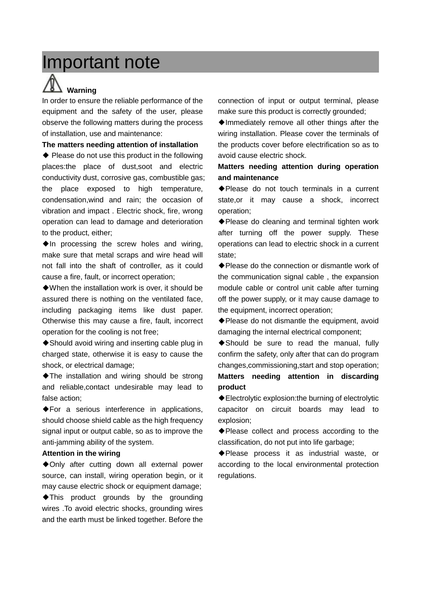## Important note

# **Warning**

In order to ensure the reliable performance of the equipment and the safety of the user, please observe the following matters during the process of installation, use and maintenance:

#### **The matters needing attention of installation**

◆ Please do not use this product in the following places:the place of dust,soot and electric conductivity dust, corrosive gas, combustible gas; the place exposed to high temperature, condensation,wind and rain; the occasion of vibration and impact . Electric shock, fire, wrong operation can lead to damage and deterioration to the product, either;

◆In processing the screw holes and wiring, make sure that metal scraps and wire head will not fall into the shaft of controller, as it could cause a fire, fault, or incorrect operation;

◆When the installation work is over, it should be assured there is nothing on the ventilated face, including packaging items like dust paper. Otherwise this may cause a fire, fault, incorrect operation for the cooling is not free;

◆ Should avoid wiring and inserting cable plug in charged state, otherwise it is easy to cause the shock, or electrical damage;

◆The installation and wiring should be strong and reliable,contact undesirable may lead to false action;

◆For a serious interference in applications, should choose shield cable as the high frequency signal input or output cable, so as to improve the anti-jamming ability of the system.

#### **Attention in the wiring**

◆Only after cutting down all external power source, can install, wiring operation begin, or it may cause electric shock or equipment damage;

◆This product grounds by the grounding wires .To avoid electric shocks, grounding wires and the earth must be linked together. Before the

connection of input or output terminal, please make sure this product is correctly grounded;

◆Immediately remove all other things after the wiring installation. Please cover the terminals of the products cover before electrification so as to avoid cause electric shock.

#### **Matters needing attention during operation and maintenance**

◆Please do not touch terminals in a current state,or it may cause a shock, incorrect operation;

◆Please do cleaning and terminal tighten work after turning off the power supply. These operations can lead to electric shock in a current state;

◆ Please do the connection or dismantle work of the communication signal cable , the expansion module cable or control unit cable after turning off the power supply, or it may cause damage to the equipment, incorrect operation;

◆Please do not dismantle the equipment, avoid damaging the internal electrical component;

◆Should be sure to read the manual, fully confirm the safety, only after that can do program changes,commissioning,start and stop operation;

**Matters needing attention in discarding product** 

◆Electrolytic explosion:the burning of electrolytic capacitor on circuit boards may lead to explosion;

◆Please collect and process according to the classification, do not put into life garbage;

◆Please process it as industrial waste, or according to the local environmental protection regulations.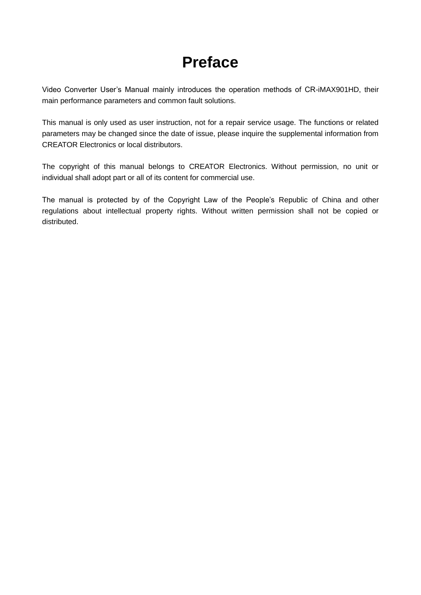## **Preface**

Video Converter User's Manual mainly introduces the operation methods of CR-iMAX901HD, their main performance parameters and common fault solutions.

This manual is only used as user instruction, not for a repair service usage. The functions or related parameters may be changed since the date of issue, please inquire the supplemental information from CREATOR Electronics or local distributors.

The copyright of this manual belongs to CREATOR Electronics. Without permission, no unit or individual shall adopt part or all of its content for commercial use.

The manual is protected by of the Copyright Law of the People's Republic of China and other regulations about intellectual property rights. Without written permission shall not be copied or distributed.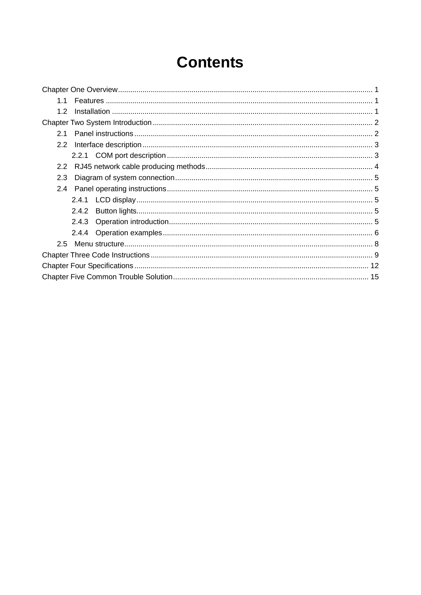## **Contents**

| 1.1              |
|------------------|
| 1.2 <sub>2</sub> |
|                  |
| 2.1              |
| 2.2              |
|                  |
| 2.2              |
| 2.3              |
| $2.4^{\circ}$    |
|                  |
|                  |
|                  |
|                  |
|                  |
|                  |
|                  |
|                  |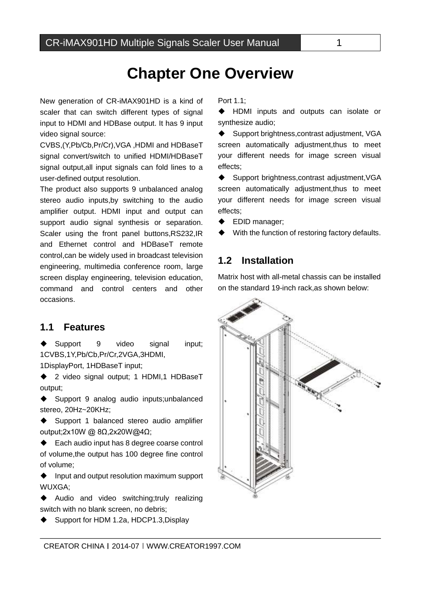## **Chapter One Overview**

New generation of CR-iMAX901HD is a kind of scaler that can switch different types of signal input to HDMI and HDBase output. It has 9 input video signal source:

CVBS,(Y,Pb/Cb,Pr/Cr),VGA ,HDMI and HDBaseT signal convert/switch to unified HDMI/HDBaseT signal output,all input signals can fold lines to a user-defined output resolution.

The product also supports 9 unbalanced analog stereo audio inputs,by switching to the audio amplifier output. HDMI input and output can support audio signal synthesis or separation. Scaler using the front panel buttons,RS232,IR and Ethernet control and HDBaseT remote control,can be widely used in broadcast television engineering, multimedia conference room, large screen display engineering, television education, command and control centers and other occasions.

#### <span id="page-5-1"></span>**1.1 Features**

ſ

<span id="page-5-0"></span>用户手册

◆ Support 9 video signal input; 1CVBS,1Y,Pb/Cb,Pr/Cr,2VGA,3HDMI,

1DisplayPort, 1HDBaseT input;

◆ 2 video signal output; 1 HDMI,1 HDBaseT output;

◆ Support 9 analog audio inputs;unbalanced stereo, 20Hz~20KHz;

◆ Support 1 balanced stereo audio amplifier output;2x10W @ 8Ω,2x20W@4Ω;

♦ Each audio input has 8 degree coarse control of volume,the output has 100 degree fine control of volume;

 $\bullet$  Input and output resolution maximum support WUXGA;

◆ Audio and video switching;truly realizing switch with no blank screen, no debris;

◆ Support for HDM 1.2a, HDCP1.3, Display

#### Port 1.1;

 HDMI inputs and outputs can isolate or synthesize audio;

◆ Support brightness, contrast adjustment, VGA screen automatically adjustment,thus to meet your different needs for image screen visual effects;

◆ Support brightness, contrast adjustment, VGA screen automatically adjustment, thus to meet your different needs for image screen visual effects;

◆ EDID manager;

With the function of restoring factory defaults.

## <span id="page-5-2"></span>**1.2 Installation**

Matrix host with all-metal chassis can be installed on the standard 19-inch rack,as shown below:

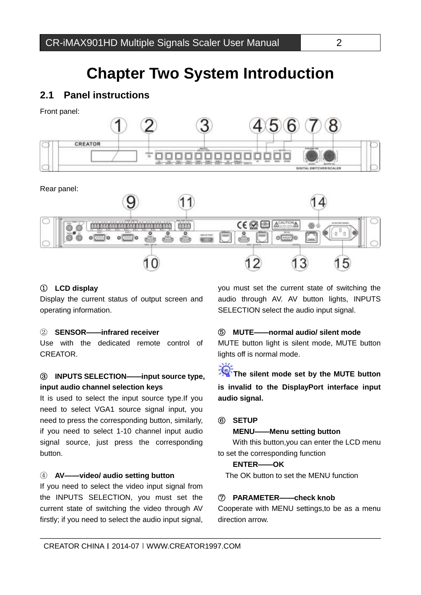## **Chapter Two System Introduction**

## <span id="page-6-1"></span>**2.1 Panel instructions**

Front panel:

<span id="page-6-0"></span>用户手册

ſ



Rear panel:



#### ① **LCD display**

Display the current status of output screen and operating information.

#### ② **SENSOR——infrared receiver**

Use with the dedicated remote control of **CREATOR** 

#### ③ **INPUTS SELECTION——input source type, input audio channel selection keys**

It is used to select the input source type.If you need to select VGA1 source signal input, you need to press the corresponding button, similarly, if you need to select 1-10 channel input audio signal source, just press the corresponding button.

#### ④ **AV——video/ audio setting button**

If you need to select the video input signal from the INPUTS SELECTION, you must set the current state of switching the video through AV firstly; if you need to select the audio input signal, you must set the current state of switching the audio through AV. AV button lights, INPUTS SELECTION select the audio input signal.

#### ⑤ **MUTE——normal audio/ silent mode**

MUTE button light is silent mode, MUTE button lights off is normal mode.

**The silent mode set by the MUTE button is invalid to the DisplayPort interface input audio signal.**

#### ⑥ **SETUP**

#### **MENU——Menu setting button**

 With this button,you can enter the LCD menu to set the corresponding function

#### **ENTER——OK**

The OK button to set the MENU function

#### ⑦ **PARAMETER——check knob**

Cooperate with MENU settings,to be as a menu direction arrow.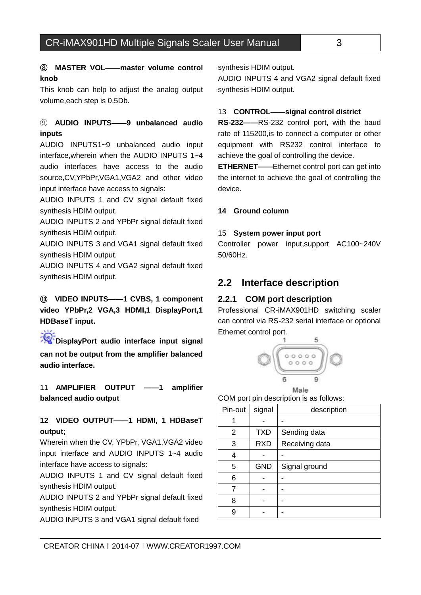#### ⑧ **MASTER VOL——master volume control knob**

ſ

用户手册

This knob can help to adjust the analog output volume,each step is 0.5Db.

#### ⑨ **AUDIO INPUTS——9 unbalanced audio inputs**

AUDIO INPUTS1~9 unbalanced audio input interface,wherein when the AUDIO INPUTS 1~4 audio interfaces have access to the audio source,CV,YPbPr,VGA1,VGA2 and other video input interface have access to signals:

AUDIO INPUTS 1 and CV signal default fixed synthesis HDIM output.

AUDIO INPUTS 2 and YPbPr signal default fixed synthesis HDIM output.

AUDIO INPUTS 3 and VGA1 signal default fixed synthesis HDIM output.

AUDIO INPUTS 4 and VGA2 signal default fixed synthesis HDIM output.

## ⑩ **VIDEO INPUTS——1 CVBS, 1 component video YPbPr,2 VGA,3 HDMI,1 DisplayPort,1 HDBaseT input.**

**DisplayPort audio interface input signal can not be output from the amplifier balanced audio interface.**

11 **AMPLIFIER OUTPUT ——1 amplifier balanced audio output**

### **12 VIDEO OUTPUT——1 HDMI, 1 HDBaseT output;**

Wherein when the CV, YPbPr, VGA1,VGA2 video input interface and AUDIO INPUTS 1~4 audio interface have access to signals:

AUDIO INPUTS 1 and CV signal default fixed synthesis HDIM output.

AUDIO INPUTS 2 and YPbPr signal default fixed synthesis HDIM output.

AUDIO INPUTS 3 and VGA1 signal default fixed

synthesis HDIM output.

AUDIO INPUTS 4 and VGA2 signal default fixed synthesis HDIM output.

#### 13 **CONTROL——signal control district**

**RS-232——**RS-232 control port, with the baud rate of 115200,is to connect a computer or other equipment with RS232 control interface to achieve the goal of controlling the device.

**ETHERNET——**Ethernet control port can get into the internet to achieve the goal of controlling the device.

#### **14 Ground column**

#### 15 **System power input port**

Controller power input,support AC100~240V 50/60Hz.

### <span id="page-7-0"></span>**2.2 Interface description**

#### <span id="page-7-1"></span>**2.2.1 COM port description**

Professional CR-iMAX901HD switching scaler can control via RS-232 serial interface or optional Ethernet control port.



COM port pin description is as follows:

| Pin-out | signal     | description    |
|---------|------------|----------------|
|         |            |                |
| 2       | <b>TXD</b> | Sending data   |
| 3       | <b>RXD</b> | Receiving data |
| 4       |            |                |
| 5       | <b>GND</b> | Signal ground  |
| 6       |            |                |
| 7       |            |                |
| 8       |            |                |
| 9       |            |                |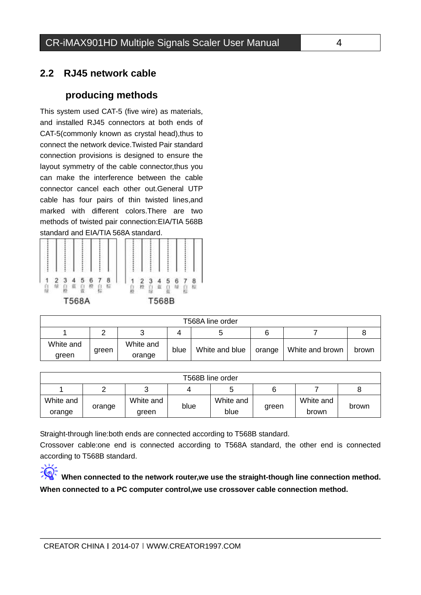## <span id="page-8-0"></span>**2.2 RJ45 network cable**

ſ

用户手册

## **producing methods**

This system used CAT-5 (five wire) as materials, and installed RJ45 connectors at both ends of CAT-5(commonly known as crystal head),thus to connect the network device.Twisted Pair standard connection provisions is designed to ensure the layout symmetry of the cable connector,thus you can make the interference between the cable connector cancel each other out.General UTP cable has four pairs of thin twisted lines,and marked with different colors.There are two methods of twisted pair connection:EIA/TIA 568B standard and EIA/TIA 568A standard.



|                    | T568A line order |                     |      |                |        |                 |       |
|--------------------|------------------|---------------------|------|----------------|--------|-----------------|-------|
|                    |                  |                     |      |                |        |                 |       |
| White and<br>green | green            | White and<br>orange | blue | White and blue | orange | White and brown | brown |

| T568B line order |        |           |      |           |       |           |       |
|------------------|--------|-----------|------|-----------|-------|-----------|-------|
|                  |        |           | 4    | 5         |       |           |       |
| White and        | orange | White and | blue | White and | green | White and | brown |
| orange           |        | green     |      | blue      |       | brown     |       |

Straight-through line:both ends are connected according to T568B standard.

Crossover cable:one end is connected according to T568A standard, the other end is connected according to T568B standard.



**When connected to the network router,we use the straight-though line connection method. When connected to a PC computer control,we use crossover cable connection method.**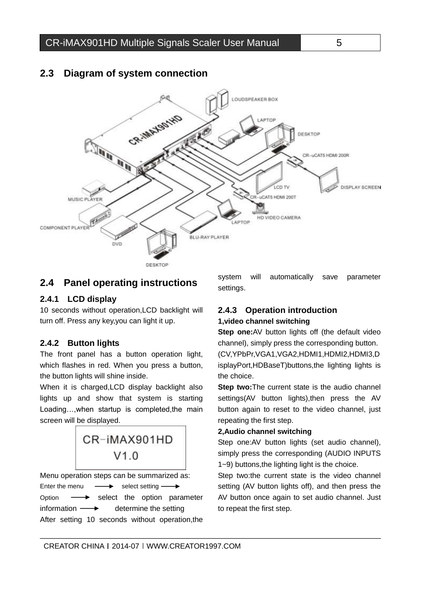

## <span id="page-9-0"></span>**2.3 Diagram of system connection**

## <span id="page-9-1"></span>**2.4 Panel operating instructions**

#### <span id="page-9-2"></span>**2.4.1 LCD display**

ſ

用户手册

10 seconds without operation,LCD backlight will turn off. Press any key,you can light it up.

#### <span id="page-9-3"></span>**2.4.2 Button lights**

The front panel has a button operation light, which flashes in red. When you press a button, the button lights will shine inside.

When it is charged,LCD display backlight also lights up and show that system is starting Loading…,when startup is completed,the main screen will be displayed.



Menu operation steps can be summarized as: Enter the menu  $\longrightarrow$  select setting  $\longrightarrow$ Option  $\longrightarrow$  select the option parameter information  $\longrightarrow$  determine the setting After setting 10 seconds without operation,the

system will automatically save parameter settings.

### <span id="page-9-4"></span>**2.4.3 Operation introduction 1,video channel switching**

**Step one:**AV button lights off (the default video channel), simply press the corresponding button. (CV,YPbPr,VGA1,VGA2,HDMI1,HDMI2,HDMI3,D isplayPort,HDBaseT)buttons,the lighting lights is the choice.

**Step two:**The current state is the audio channel settings(AV button lights), then press the AV button again to reset to the video channel, just repeating the first step.

#### **2,Audio channel switching**

Step one:AV button lights (set audio channel), simply press the corresponding (AUDIO INPUTS 1~9) buttons,the lighting light is the choice.

Step two:the current state is the video channel setting (AV button lights off), and then press the AV button once again to set audio channel. Just to repeat the first step.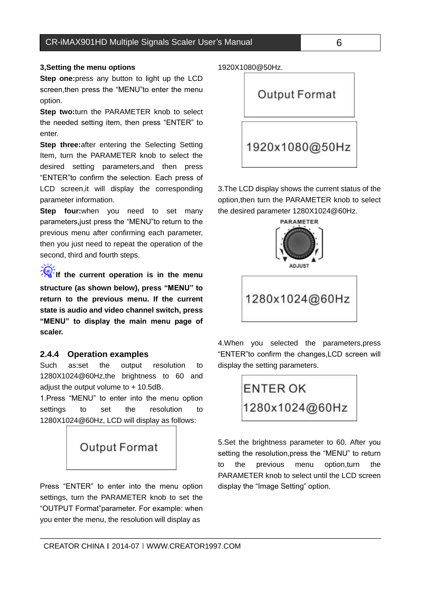#### CR-iMAX901HD Multiple Signals Scaler User's Manual 6

#### **3,Setting the menu options**

用户手册

ſ

**Step one:**press any button to light up the LCD screen,then press the "MENU"to enter the menu option.

**Step two:**turn the PARAMETER knob to select the needed setting item, then press "ENTER" to enter.

**Step three:**after entering the Selecting Setting Item, turn the PARAMETER knob to select the desired setting parameters,and then press "ENTER"to confirm the selection. Each press of LCD screen,it will display the corresponding parameter information.

**Step four:**when you need to set many parameters,just press the "MENU"to return to the previous menu after confirming each parameter, then you just need to repeat the operation of the second, third and fourth steps.

**If** if the current operation is in the menu **structure (as shown below), press "MENU" to return to the previous menu. If the current state is audio and video channel switch, press "MENU" to display the main menu page of scaler.**

#### <span id="page-10-0"></span>**2.4.4 Operation examples**

Such as:set the output resolution to 1280X1024@60Hz,the brightness to 60 and adjust the output volume to + 10.5dB.

1.Press "MENU" to enter into the menu option settings to set the resolution to 1280X1024@60Hz, LCD will display as follows:



Press "ENTER" to enter into the menu option settings, turn the PARAMETER knob to set the "OUTPUT Format"parameter. For example: when you enter the menu, the resolution will display as

1920X1080@50Hz.



3.The LCD display shows the current status of the option,then turn the PARAMETER knob to select the desired parameter 1280X1024@60Hz.



4.When you selected the parameters,press "ENTER"to confirm the changes,LCD screen will display the setting parameters.



5.Set the brightness parameter to 60. After you setting the resolution,press the "MENU" to return to the previous menu option,turn the PARAMETER knob to select until the LCD screen display the "Image Setting" option.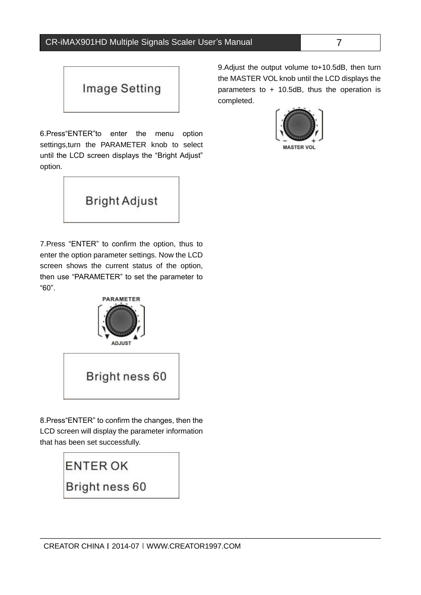

ſ

用户手册

6.Press"ENTER"to enter the menu option settings,turn the PARAMETER knob to select until the LCD screen displays the "Bright Adjust" option.



7.Press "ENTER" to confirm the option, thus to enter the option parameter settings. Now the LCD screen shows the current status of the option, then use "PARAMETER" to set the parameter to "60".



8.Press"ENTER" to confirm the changes, then the LCD screen will display the parameter information that has been set successfully.



9.Adjust the output volume to+10.5dB, then turn the MASTER VOL knob until the LCD displays the parameters to + 10.5dB, thus the operation is completed.

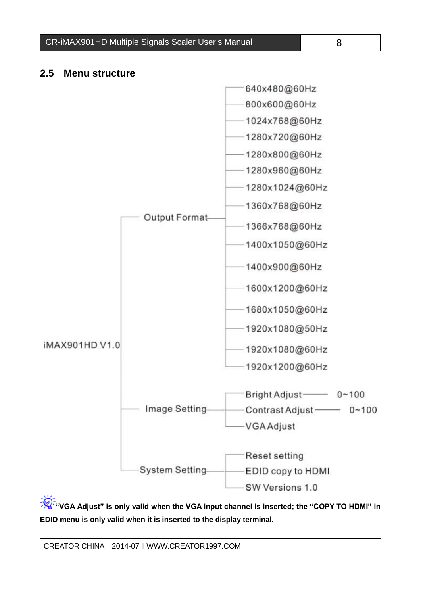CR-iMAX901HD Multiple Signals Scaler User's Manual 8

### <span id="page-12-0"></span>**2.5 Menu structure**

用户手册

ſ



**"VGA Adjust" is only valid when the VGA input channel is inserted; the "COPY TO HDMI" in EDID menu is only valid when it is inserted to the display terminal.**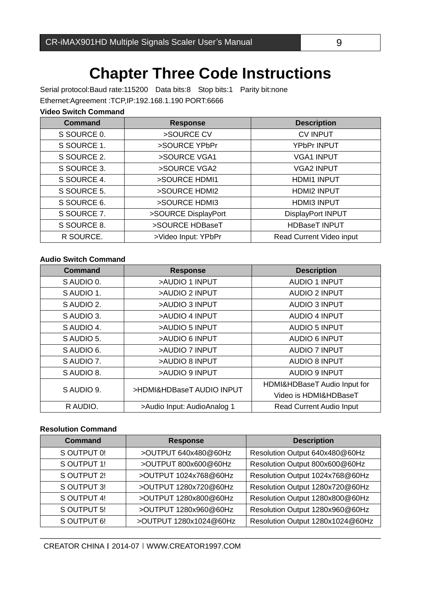<span id="page-13-0"></span>Serial protocol:Baud rate:115200 Data bits:8 Stop bits:1 Parity bit:none Ethernet:Agreement :TCP,IP:192.168.1.190 PORT:6666

#### **Video Switch Command**

ſ

| <b>Command</b> | <b>Response</b>     | <b>Description</b>       |
|----------------|---------------------|--------------------------|
| S SOURCE 0.    | >SOURCE CV          | <b>CV INPUT</b>          |
| S SOURCE 1.    | >SOURCE YPbPr       | <b>YPbPr INPUT</b>       |
| S SOURCE 2.    | >SOURCE VGA1        | <b>VGA1 INPUT</b>        |
| S SOURCE 3.    | >SOURCE VGA2        | <b>VGA2 INPUT</b>        |
| S SOURCE 4.    | >SOURCE HDMI1       | <b>HDMI1 INPUT</b>       |
| S SOURCE 5.    | >SOURCE HDMI2       | <b>HDMI2 INPUT</b>       |
| S SOURCE 6.    | >SOURCE HDMI3       | <b>HDMI3 INPUT</b>       |
| S SOURCE 7.    | >SOURCE DisplayPort | DisplayPort INPUT        |
| S SOURCE 8.    | >SOURCE HDBaseT     | <b>HDBaseT INPUT</b>     |
| R SOURCE.      | >Video Input: YPbPr | Read Current Video input |

#### **Audio Switch Command**

| <b>Command</b> | <b>Response</b>             | <b>Description</b>              |
|----------------|-----------------------------|---------------------------------|
| S AUDIO 0.     | >AUDIO 1 INPUT              | <b>AUDIO 1 INPUT</b>            |
| SAUDIO 1.      | >AUDIO 2 INPUT              | <b>AUDIO 2 INPUT</b>            |
| S AUDIO 2.     | >AUDIO 3 INPUT              | <b>AUDIO 3 INPUT</b>            |
| S AUDIO 3.     | >AUDIO 4 INPUT              | <b>AUDIO 4 INPUT</b>            |
| S AUDIO 4.     | >AUDIO 5 INPUT              | <b>AUDIO 5 INPUT</b>            |
| S AUDIO 5.     | >AUDIO 6 INPUT              | <b>AUDIO 6 INPUT</b>            |
| S AUDIO 6.     | >AUDIO 7 INPUT              | <b>AUDIO 7 INPUT</b>            |
| S AUDIO 7.     | >AUDIO 8 INPUT              | <b>AUDIO 8 INPUT</b>            |
| S AUDIO 8.     | >AUDIO 9 INPUT              | AUDIO 9 INPUT                   |
| SAUDIO 9.      | >HDMI&HDBaseT AUDIO INPUT   | HDMI&HDBaseT Audio Input for    |
|                |                             | Video is HDMI&HDBaseT           |
| R AUDIO.       | >Audio Input: AudioAnalog 1 | <b>Read Current Audio Input</b> |

#### **Resolution Command**

| Command     | <b>Response</b>        | <b>Description</b>               |
|-------------|------------------------|----------------------------------|
| S OUTPUT 0! | >OUTPUT 640x480@60Hz   | Resolution Output 640x480@60Hz   |
| S OUTPUT 1! | >OUTPUT 800x600@60Hz   | Resolution Output 800x600@60Hz   |
| S OUTPUT 2! | >OUTPUT 1024x768@60Hz  | Resolution Output 1024x768@60Hz  |
| S OUTPUT 3! | >OUTPUT 1280x720@60Hz  | Resolution Output 1280x720@60Hz  |
| S OUTPUT 4! | >OUTPUT 1280x800@60Hz  | Resolution Output 1280x800@60Hz  |
| S OUTPUT 5! | >OUTPUT 1280x960@60Hz  | Resolution Output 1280x960@60Hz  |
| S OUTPUT 6! | >OUTPUT 1280x1024@60Hz | Resolution Output 1280x1024@60Hz |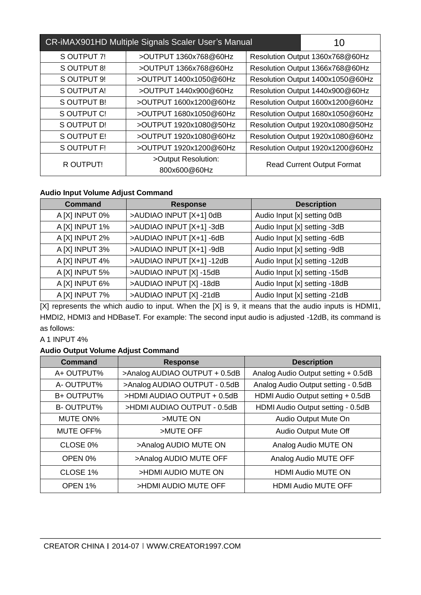| CR-iMAX901HD Multiple Signals Scaler User's Manual |                                     |  | 10                                |
|----------------------------------------------------|-------------------------------------|--|-----------------------------------|
| S OUTPUT 7!                                        | >OUTPUT 1360x768@60Hz               |  | Resolution Output 1360x768@60Hz   |
| S OUTPUT 8!                                        | >OUTPUT 1366x768@60Hz               |  | Resolution Output 1366x768@60Hz   |
| S OUTPUT 9!                                        | >OUTPUT 1400x1050@60Hz              |  | Resolution Output 1400x1050@60Hz  |
| S OUTPUT A!                                        | >OUTPUT 1440x900@60Hz               |  | Resolution Output 1440x900@60Hz   |
| S OUTPUT B!                                        | >OUTPUT 1600x1200@60Hz              |  | Resolution Output 1600x1200@60Hz  |
| S OUTPUT C!                                        | >OUTPUT 1680x1050@60Hz              |  | Resolution Output 1680x1050@60Hz  |
| S OUTPUT D!                                        | >OUTPUT 1920x1080@50Hz              |  | Resolution Output 1920x1080@50Hz  |
| S OUTPUT E!                                        | >OUTPUT 1920x1080@60Hz              |  | Resolution Output 1920x1080@60Hz  |
| S OUTPUT F!                                        | >OUTPUT 1920x1200@60Hz              |  | Resolution Output 1920x1200@60Hz  |
| R OUTPUT!                                          | >Output Resolution:<br>800x600@60Hz |  | <b>Read Current Output Format</b> |

#### **Audio Input Volume Adjust Command**

| <b>Command</b> | <b>Response</b>           | <b>Description</b>            |
|----------------|---------------------------|-------------------------------|
| A [X] INPUT 0% | >AUDIAO INPUT [X+1] 0dB   | Audio Input [x] setting 0dB   |
| A [X] INPUT 1% | >AUDIAO INPUT [X+1] -3dB  | Audio Input [x] setting -3dB  |
| A [X] INPUT 2% | >AUDIAO INPUT [X+1] -6dB  | Audio Input [x] setting -6dB  |
| A [X] INPUT 3% | >AUDIAO INPUT [X+1] -9dB  | Audio Input [x] setting -9dB  |
| A [X] INPUT 4% | >AUDIAO INPUT [X+1] -12dB | Audio Input [x] setting -12dB |
| A [X] INPUT 5% | >AUDIAO INPUT [X] -15dB   | Audio Input [x] setting -15dB |
| A [X] INPUT 6% | >AUDIAO INPUT [X] -18dB   | Audio Input [x] setting -18dB |
| A [X] INPUT 7% | >AUDIAO INPUT [X] -21dB   | Audio Input [x] setting -21dB |

[X] represents the which audio to input. When the [X] is 9, it means that the audio inputs is HDMI1, HMDI2, HDMI3 and HDBaseT. For example: The second input audio is adjusted -12dB, its command is as follows:

A 1 INPUT 4%

#### **Audio Output Volume Adjust Command**

| Command          | <b>Response</b>               | <b>Description</b>                  |
|------------------|-------------------------------|-------------------------------------|
| A+ OUTPUT%       | >Analog AUDIAO OUTPUT + 0.5dB | Analog Audio Output setting + 0.5dB |
| A-OUTPUT%        | >Analog AUDIAO OUTPUT - 0.5dB | Analog Audio Output setting - 0.5dB |
| B+ OUTPUT%       | >HDMI AUDIAO OUTPUT + 0.5dB   | HDMI Audio Output setting + 0.5dB   |
| <b>B-OUTPUT%</b> | >HDMI AUDIAO OUTPUT - 0.5dB   | HDMI Audio Output setting - 0.5dB   |
| MUTE ON%         | >MUTE ON                      | Audio Output Mute On                |
| <b>MUTE OFF%</b> | >MUTE OFF                     | Audio Output Mute Off               |
| CLOSE 0%         | >Analog AUDIO MUTE ON         | Analog Audio MUTE ON                |
| OPEN 0%          | >Analog AUDIO MUTE OFF        | Analog Audio MUTE OFF               |
| CLOSE 1%         | >HDMI AUDIO MUTE ON           | <b>HDMI Audio MUTE ON</b>           |
| OPEN 1%          | >HDMI AUDIO MUTE OFF          | <b>HDMI Audio MUTE OFF</b>          |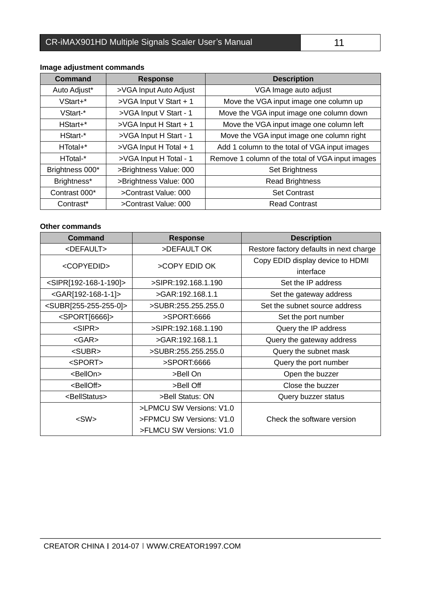## CR-iMAX901HD Multiple Signals Scaler User's Manual 11

| <b>Command</b>  | <b>Response</b>        | <b>Description</b>                               |
|-----------------|------------------------|--------------------------------------------------|
| Auto Adjust*    | >VGA Input Auto Adjust | VGA Image auto adjust                            |
| VStart+*        | >VGA Input V Start + 1 | Move the VGA input image one column up           |
| VStart-*        | >VGA Input V Start - 1 | Move the VGA input image one column down         |
| HStart+*        | >VGA Input H Start + 1 | Move the VGA input image one column left         |
| HStart-*        | >VGA Input H Start - 1 | Move the VGA input image one column right        |
| HTotal+*        | >VGA Input H Total + 1 | Add 1 column to the total of VGA input images    |
| HTotal-*        | >VGA Input H Total - 1 | Remove 1 column of the total of VGA input images |
| Brightness 000* | >Brightness Value: 000 | Set Brightness                                   |
| Brightness*     | >Brightness Value: 000 | <b>Read Brightness</b>                           |
| Contrast 000*   | >Contrast Value: 000   | <b>Set Contrast</b>                              |
| Contrast*       | >Contrast Value: 000   | <b>Read Contrast</b>                             |

### **Image adjustment commands**

ſ

#### **Other commands**

| Command                                     | <b>Response</b>          | <b>Description</b>                      |  |
|---------------------------------------------|--------------------------|-----------------------------------------|--|
| <default></default>                         | >DEFAULT OK              | Restore factory defaults in next charge |  |
| <copyedid></copyedid>                       | >COPY EDID OK            | Copy EDID display device to HDMI        |  |
|                                             |                          | interface                               |  |
| <sipr[192-168-1-190]></sipr[192-168-1-190]> | >SIPR:192.168.1.190      | Set the IP address                      |  |
| <gar[192-168-1-1]></gar[192-168-1-1]>       | >GAR:192.168.1.1         | Set the gateway address                 |  |
| <subr[255-255-255-0]></subr[255-255-255-0]> | >SUBR:255.255.255.0      | Set the subnet source address           |  |
| <sport[6666]></sport[6666]>                 | >SPORT:6666              | Set the port number                     |  |
| $<$ SIPR $>$                                | >SIPR:192.168.1.190      | Query the IP address                    |  |
| $<$ GAR $>$                                 | >GAR:192.168.1.1         | Query the gateway address               |  |
| <subr></subr>                               | >SUBR:255.255.255.0      | Query the subnet mask                   |  |
| <sport></sport>                             | >SPORT:6666              | Query the port number                   |  |
| <bellon></bellon>                           | >Bell On                 | Open the buzzer                         |  |
| <belloff></belloff>                         | >Bell Off                | Close the buzzer                        |  |
| <bellstatus></bellstatus>                   | >Bell Status: ON         | Query buzzer status                     |  |
|                                             | >LPMCU SW Versions: V1.0 |                                         |  |
| $<$ SW $>$                                  | >FPMCU SW Versions: V1.0 | Check the software version              |  |
|                                             | >FLMCU SW Versions: V1.0 |                                         |  |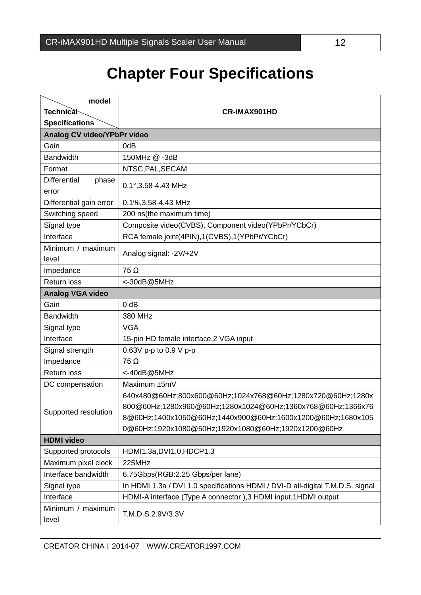<span id="page-16-0"></span>ſ

## **Chapter Four Specifications**

| model                        |                                                                                |  |  |
|------------------------------|--------------------------------------------------------------------------------|--|--|
| <b>Technical</b>             | <b>CR-IMAX901HD</b>                                                            |  |  |
| <b>Specifications</b>        |                                                                                |  |  |
| Analog CV video/YPbPr video  |                                                                                |  |  |
| Gain                         | 0dB                                                                            |  |  |
| <b>Bandwidth</b>             | 150MHz @ -3dB                                                                  |  |  |
| Format                       | NTSC, PAL, SECAM                                                               |  |  |
| <b>Differential</b><br>phase | 0.1°, 3.58-4.43 MHz                                                            |  |  |
| error                        |                                                                                |  |  |
| Differential gain error      | 0.1%, 3.58-4.43 MHz                                                            |  |  |
| Switching speed              | 200 ns(the maximum time)                                                       |  |  |
| Signal type                  | Composite video(CVBS), Component video(YPbPr/YCbCr)                            |  |  |
| Interface                    | RCA female joint(4PIN),1(CVBS),1(YPbPr/YCbCr)                                  |  |  |
| Minimum / maximum<br>level   | Analog signal: -2V/+2V                                                         |  |  |
| Impedance                    | $75 \Omega$                                                                    |  |  |
| <b>Return loss</b>           | <-30dB@5MHz                                                                    |  |  |
| <b>Analog VGA video</b>      |                                                                                |  |  |
| Gain                         | $0$ dB                                                                         |  |  |
| <b>Bandwidth</b>             | 380 MHz                                                                        |  |  |
| Signal type                  | <b>VGA</b>                                                                     |  |  |
| Interface                    | 15-pin HD female interface, 2 VGA input                                        |  |  |
| Signal strength              | 0.63V p-p to 0.9 V p-p                                                         |  |  |
| Impedance                    | $75 \Omega$                                                                    |  |  |
| <b>Return loss</b>           | <-40dB@5MHz                                                                    |  |  |
| DC compensation              | Maximum ±5mV                                                                   |  |  |
|                              | 640x480@60Hz;800x600@60Hz;1024x768@60Hz;1280x720@60Hz;1280x                    |  |  |
|                              | 800@60Hz;1280x960@60Hz;1280x1024@60Hz;1360x768@60Hz;1366x76                    |  |  |
| Supported resolution         | 8@60Hz;1400x1050@60Hz;1440x900@60Hz;1600x1200@60Hz;1680x105                    |  |  |
|                              | 0@60Hz;1920x1080@50Hz;1920x1080@60Hz;1920x1200@60Hz                            |  |  |
| <b>HDMI</b> video            |                                                                                |  |  |
| Supported protocols          | HDMI1.3a, DVI1.0, HDCP1.3                                                      |  |  |
| Maximum pixel clock          | 225MHz                                                                         |  |  |
| Interface bandwidth          | 6.75Gbps(RGB:2.25 Gbps/per lane)                                               |  |  |
| Signal type                  | In HDMI 1.3a / DVI 1.0 specifications HDMI / DVI-D all-digital T.M.D.S. signal |  |  |
| Interface                    | HDMI-A interface (Type A connector), 3 HDMI input, 1HDMI output                |  |  |
| Minimum / maximum<br>level   | T.M.D.S.2.9V/3.3V                                                              |  |  |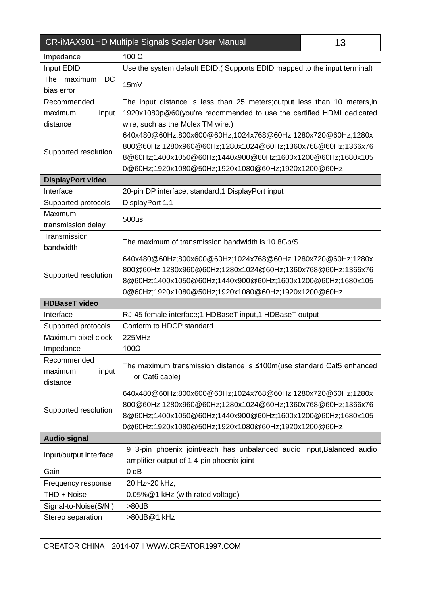| CR-iMAX901HD Multiple Signals Scaler User Manual<br>13 |                                                                           |  |
|--------------------------------------------------------|---------------------------------------------------------------------------|--|
| Impedance                                              | 100 $\Omega$                                                              |  |
| Input EDID                                             | Use the system default EDID, (Supports EDID mapped to the input terminal) |  |
| DC<br>The<br>maximum                                   |                                                                           |  |
| bias error                                             | 15mV                                                                      |  |
| Recommended                                            | The input distance is less than 25 meters; output less than 10 meters, in |  |
| input<br>maximum                                       | 1920x1080p@60(you're recommended to use the certified HDMI dedicated      |  |
| distance                                               | wire, such as the Molex TM wire.)                                         |  |
|                                                        | 640x480@60Hz;800x600@60Hz;1024x768@60Hz;1280x720@60Hz;1280x               |  |
| Supported resolution                                   | 800@60Hz;1280x960@60Hz;1280x1024@60Hz;1360x768@60Hz;1366x76               |  |
|                                                        | 8@60Hz;1400x1050@60Hz;1440x900@60Hz;1600x1200@60Hz;1680x105               |  |
|                                                        | 0@60Hz;1920x1080@50Hz;1920x1080@60Hz;1920x1200@60Hz                       |  |
| <b>DisplayPort video</b>                               |                                                                           |  |
| Interface                                              | 20-pin DP interface, standard, 1 DisplayPort input                        |  |
| Supported protocols                                    | DisplayPort 1.1                                                           |  |
| Maximum                                                | 500us                                                                     |  |
| transmission delay                                     |                                                                           |  |
| Transmission                                           | The maximum of transmission bandwidth is 10.8Gb/S                         |  |
| bandwidth                                              |                                                                           |  |
|                                                        | 640x480@60Hz;800x600@60Hz;1024x768@60Hz;1280x720@60Hz;1280x               |  |
| Supported resolution                                   | 800@60Hz;1280x960@60Hz;1280x1024@60Hz;1360x768@60Hz;1366x76               |  |
|                                                        | 8@60Hz;1400x1050@60Hz;1440x900@60Hz;1600x1200@60Hz;1680x105               |  |
|                                                        | 0@60Hz;1920x1080@50Hz;1920x1080@60Hz;1920x1200@60Hz                       |  |
| <b>HDBaseT video</b>                                   |                                                                           |  |
| Interface                                              | RJ-45 female interface;1 HDBaseT input,1 HDBaseT output                   |  |
| Supported protocols                                    | Conform to HDCP standard                                                  |  |
| Maximum pixel clock                                    | 225MHz                                                                    |  |
| Impedance                                              | $100\Omega$                                                               |  |
| Recommended                                            | The maximum transmission distance is ≤100m(use standard Cat5 enhanced     |  |
| maximum<br>input                                       | or Cat6 cable)                                                            |  |
| distance                                               |                                                                           |  |
|                                                        | 640x480@60Hz;800x600@60Hz;1024x768@60Hz;1280x720@60Hz;1280x               |  |
| Supported resolution                                   | 800@60Hz;1280x960@60Hz;1280x1024@60Hz;1360x768@60Hz;1366x76               |  |
|                                                        | 8@60Hz;1400x1050@60Hz;1440x900@60Hz;1600x1200@60Hz;1680x105               |  |
|                                                        | 0@60Hz;1920x1080@50Hz;1920x1080@60Hz;1920x1200@60Hz                       |  |
| <b>Audio signal</b>                                    |                                                                           |  |
| Input/output interface                                 | 9 3-pin phoenix joint/each has unbalanced audio input, Balanced audio     |  |
|                                                        | amplifier output of 1 4-pin phoenix joint                                 |  |
| Gain                                                   | $0$ dB                                                                    |  |
| Frequency response                                     | 20 Hz~20 kHz,                                                             |  |
| THD + Noise                                            | 0.05%@1 kHz (with rated voltage)                                          |  |
| Signal-to-Noise(S/N)                                   | >80dB                                                                     |  |
| Stereo separation                                      | >80dB@1 kHz                                                               |  |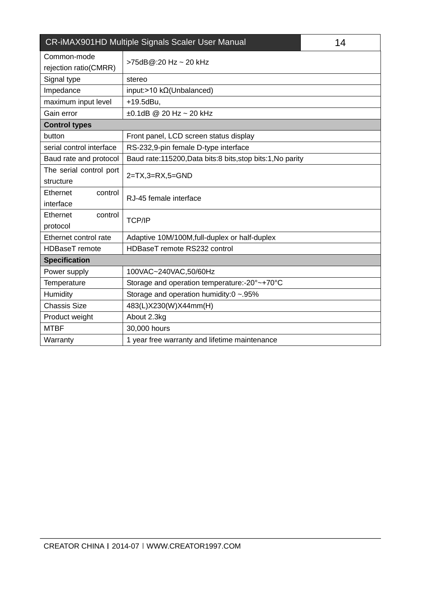| CR-iMAX901HD Multiple Signals Scaler User Manual<br>14 |                                                            |  |  |  |
|--------------------------------------------------------|------------------------------------------------------------|--|--|--|
| Common-mode<br>rejection ratio(CMRR)                   | >75dB@:20 Hz ~ 20 kHz                                      |  |  |  |
| Signal type                                            | stereo                                                     |  |  |  |
| Impedance                                              | input:>10 $k\Omega$ (Unbalanced)                           |  |  |  |
| maximum input level                                    | +19.5dBu,                                                  |  |  |  |
| Gain error                                             | $\pm 0.1$ dB @ 20 Hz ~ 20 kHz                              |  |  |  |
| <b>Control types</b>                                   |                                                            |  |  |  |
| button                                                 | Front panel, LCD screen status display                     |  |  |  |
| serial control interface                               | RS-232,9-pin female D-type interface                       |  |  |  |
| Baud rate and protocol                                 | Baud rate:115200, Data bits:8 bits, stop bits:1, No parity |  |  |  |
| The serial control port                                |                                                            |  |  |  |
| structure                                              | $2=TX,3=RX,5=GND$                                          |  |  |  |
| Ethernet<br>control                                    | RJ-45 female interface                                     |  |  |  |
| interface                                              |                                                            |  |  |  |
| Ethernet<br>control                                    | <b>TCP/IP</b>                                              |  |  |  |
| protocol                                               |                                                            |  |  |  |
| Ethernet control rate                                  | Adaptive 10M/100M, full-duplex or half-duplex              |  |  |  |
| HDBaseT remote                                         | HDBaseT remote RS232 control                               |  |  |  |
| <b>Specification</b>                                   |                                                            |  |  |  |
| Power supply                                           | 100VAC~240VAC,50/60Hz                                      |  |  |  |
| Temperature                                            | Storage and operation temperature:-20°~+70°C               |  |  |  |
| Humidity                                               | Storage and operation humidity:0 ~.95%                     |  |  |  |
| <b>Chassis Size</b>                                    | 483(L)X230(W)X44mm(H)                                      |  |  |  |
| Product weight                                         | About 2.3kg                                                |  |  |  |
| <b>MTBF</b>                                            | 30,000 hours                                               |  |  |  |
| Warranty                                               | 1 year free warranty and lifetime maintenance              |  |  |  |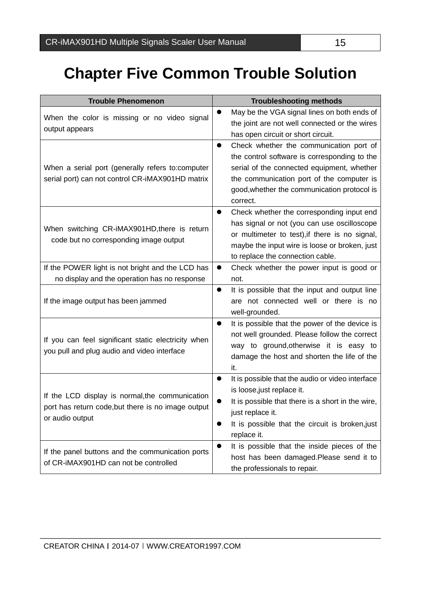ſ

## <span id="page-19-0"></span>**Chapter Five Common Trouble Solution**

| <b>Trouble Phenomenon</b>                                                                                                | <b>Troubleshooting methods</b>                                                                                                                                                                                                                     |  |  |
|--------------------------------------------------------------------------------------------------------------------------|----------------------------------------------------------------------------------------------------------------------------------------------------------------------------------------------------------------------------------------------------|--|--|
| When the color is missing or no video signal<br>output appears                                                           | May be the VGA signal lines on both ends of<br>the joint are not well connected or the wires<br>has open circuit or short circuit.                                                                                                                 |  |  |
| When a serial port (generally refers to:computer<br>serial port) can not control CR-iMAX901HD matrix                     | Check whether the communication port of<br>0<br>the control software is corresponding to the<br>serial of the connected equipment, whether<br>the communication port of the computer is<br>good, whether the communication protocol is<br>correct. |  |  |
| When switching CR-iMAX901HD, there is return<br>code but no corresponding image output                                   | Check whether the corresponding input end<br>0<br>has signal or not (you can use oscilloscope<br>or multimeter to test), if there is no signal,<br>maybe the input wire is loose or broken, just<br>to replace the connection cable.               |  |  |
| If the POWER light is not bright and the LCD has<br>no display and the operation has no response                         | Check whether the power input is good or<br>$\bullet$<br>not.                                                                                                                                                                                      |  |  |
| If the image output has been jammed                                                                                      | It is possible that the input and output line<br>$\bullet$<br>are not connected well or there is no<br>well-grounded.                                                                                                                              |  |  |
| If you can feel significant static electricity when<br>you pull and plug audio and video interface                       | It is possible that the power of the device is<br>not well grounded. Please follow the correct<br>way to ground, otherwise it is easy to<br>damage the host and shorten the life of the<br>it.                                                     |  |  |
| If the LCD display is normal, the communication<br>port has return code, but there is no image output<br>or audio output | It is possible that the audio or video interface<br>$\bullet$<br>is loose, just replace it.<br>It is possible that there is a short in the wire,<br>just replace it.<br>It is possible that the circuit is broken, just<br>replace it.             |  |  |
| If the panel buttons and the communication ports<br>of CR-iMAX901HD can not be controlled                                | It is possible that the inside pieces of the<br>host has been damaged.Please send it to<br>the professionals to repair.                                                                                                                            |  |  |